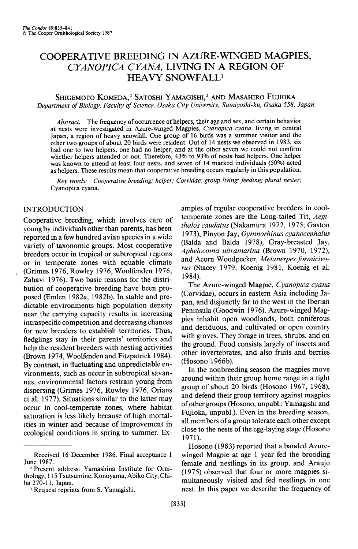# **COOPERATIVE BREEDING IN AZURE-WINGED MAGPIES, CYANOPICA CYANA, LIVING IN A REGION OF HEAVY SNOWFALL'**

SHIGEMOTO KOMEDA,<sup>2</sup> SATOSHI YAMAGISHI,<sup>3</sup> AND MASAHIRO FUJIOKA **Department of Biology, Faculty of Science, Osaka City University, Sumiyoshi-ku, Osaka 558, Japan** 

**Abstract. The frequency of occurrence of helpers, their age and sex, and certain behavior at nests were investigated in Azure-winged Magpies, Cyanopica cyana, living in central Japan, a region of heavy snowfall. One group of 16 birds was a summer visitor and the other two groups of about 20 birds were resident. Out of 14 nests we observed in 1983, six had one to two helpers, one had no helper, and at the other seven we could not confirm whether helpers attended or not. Therefore, 43% to 93% of nests had helpers. One helper was known to attend at least four nests, and seven of 14 marked individuals (50%) acted as helpers. These results mean that cooperative breeding occurs regularly in this population.** 

**Key words: Cooperative breeding; helper; Corvidae; group living; feeding; plural nester: Cyanopica cyana.** 

## **INTRODUCTION**

**Cooperative breeding, which involves care of young by individuals other than parents, has been reported in a few hundred avian species in a wide variety of taxonomic groups. Most cooperative breeders occur in tropical or subtropical regions or in temperate zones with equable climate , (Grimes 1976, Rowley 1976, Woolfenden 1976, Zahavi 1976). Two basic reasons for the distribution of cooperative breeding have been proposed (Emlen 1982a, 1982b). In stable and predictable environments high population density near the carrying capacity results in increasing intraspecific competition and decreasing chances for new breeders to establish territories. Thus, fledglings stay in their parents' territories and help the resident breeders with nesting activities (Brown 1974, Woolfenden and Fitzpatrick 1984). By contrast, in fluctuating and unpredictable environments, such as occur in subtropical savannas, environmental factors restrain young from dispersing (Grimes 1976, Rowley 1976, Orians et al. 1977). Situations similar to the latter may occur in cool-temperate zones, where habitat saturation is less likely because of high mortalities in winter and because of improvement in ecological conditions in spring to summer. Ex-** **amples of regular cooperative breeders in cooltemperate zones are the Long-tailed Tit, Aegithalos caudatus (Nakamura 1972, 1975; Gaston 1973), Pinyon Jay, Gymnorhinus cyanocephalus (Balda and Balda 1978), Gray-breasted Jay, Aphelocoma ultramarina (Brown 1970, 1972) and Acorn Woodpecker, Melanerpes formicivorus (Stacey 1979, Koenig 198 1, Koenig et al. 1984).** 

**The Azure-winged Magpie, Cyanopica cyana (Corvidae), occurs in eastern Asia including Japan, and disjunctly far to the west in the Iberian Peninsula (Goodwin 1976). Azure-winged Magpies inhabit open woodlands, both coniferous and deciduous, and cultivated or open country with groves. They forage in trees, shrubs, and on the ground. Food consists largely of insects and other invertebrates, and also fruits and berries (Hosono 1966b).** 

**In the nonbreeding season the magpies move around within their group home range in a tight group of about 20 birds (Hosono 1967, 1968) and defend their group territory against magpies of other groups (Hosono, unpubl.; Yamagishi and Fujioka, unpubl.). Even in the breeding season, all members of a group tolerate each other except close to the nests of the egg-laying stage (Hosono 1971).** 

**Hosono (1983) reported that a banded Azurewinged Magpie at age 1 year fed the brooding female and nestlings in its group, and Araujo (1975) observed that four or more magpies simultaneously visited and fed nestlings in one nest. In this paper we describe the frequency of** 

**I Received 16 December 1986. Final acceptance 1 June 1987.** 

**<sup>2</sup> Present address: Yamashina Institute for Omithology, 115 Tsutsumine, Konoyama, Abiko City, Chiba 270- 11, Japan.** 

**<sup>3</sup> Request reprints from S. Yamagishi.**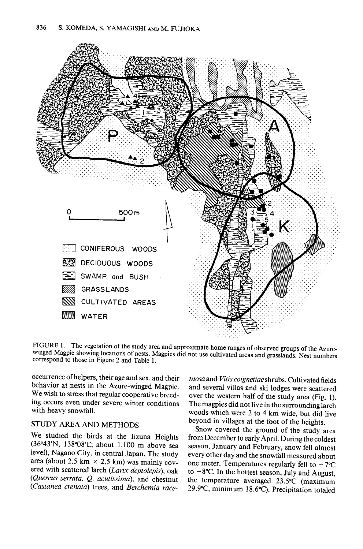

**FIGURE 1. The vegetation of the study area and approximate home ranges of observed groups of the Azurewinged Magpie showing locations of nests. Magpies did not use cultivated areas and grasslands. Nest numbers correspond to those in Figure 2 and Table 1.** 

**occurrence of helpers, their age and sex, and their behavior at nests in the Azure-winged Magpie. We wish to stress that regular cooperative breeding occurs even under severe winter conditions with heavy snowfall.** 

## **STUDY AREA AND METHODS**

**We studied the birds at the Iizuna Heights (36"43'N, 138'08'E; about 1,100 m above sea level), Nagano City, in central Japan. The study**  area (about 2.5 km  $\times$  2.5 km) was mainly cov**ered with scattered larch (Larix deptolepis), oak (Quercus serrata, Q. acutissima), and chestnut (Castanea crenata) trees, and Berchemia race-** **moss and Vitis coignetiae shrubs. Cultivated fields and several villas and ski lodges were scattered over the western half of the study area (Fig. 1). The magpies did not live in the surrounding larch woods which were 2 to 4 km wide, but did live beyond in villages at the foot of the heights.** 

**Snow covered the ground of the study area from December to early April. During the coldest season, January and February, snow fell almost every other day and the snowfall measured about**  one meter. Temperatures regularly fell to  $-7^{\circ}$ C **to - 8°C. In the hottest season, July and August,**  the temperature averaged 23.5°C (maximum **29.9"C, minimum 18.6"C). Precipitation totaled**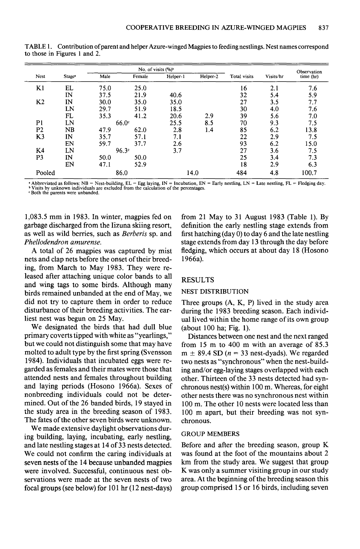|                |                    | No. of visits (%) <sup>b</sup> |        |          |          |              |           | Observation |
|----------------|--------------------|--------------------------------|--------|----------|----------|--------------|-----------|-------------|
| <b>Nest</b>    | Stage <sup>*</sup> | Male                           | Female | Helper-1 | Helper-2 | Total visits | Visits/hr | time (hr)   |
| K1             | EL                 | 75.0                           | 25.0   |          |          | 16           | 2.1       | 7.6         |
|                | IN                 | 37.5                           | 21.9   | 40.6     |          | 32           | 5.4       | 5.9         |
| K <sub>2</sub> | IN                 | 30.0                           | 35.0   | 35.0     |          | 27           | 3.5       | 7.7         |
|                | LN                 | 29.7                           | 51.9   | 18.5     |          | 30           | 4.0       | 7.6         |
|                | FL                 | 35.3                           | 41.2   | 20.6     | 2.9      | 39           | 5.6       | 7.0         |
| P <sub>1</sub> | LN                 | $66.0^\circ$                   |        | 25.5     | 8.5      | 70           | 9.3       | 7.5         |
| P <sub>2</sub> | NB                 | 47.9                           | 62.0   | 2.8      | 1.4      | 85           | 6.2       | 13.8        |
| K3             | IN                 | 35.7                           | 57.1   | 7.1      |          | 22           | 2.9       | 7.5         |
|                | EN                 | 59.7                           | 37.7   | 2.6      |          | 93           | 6.2       | 15.0        |
| K4             | LN                 | 96.3c                          |        | 3.7      |          | 27           | 3.6       | 7.5         |
| P <sub>3</sub> | IN                 | 50.0                           | 50.0   |          |          | 25           | 3.4       | 7.3         |
|                | EN                 | 47.1                           | 52.9   |          |          | 18           | 2.9       | 6.3         |
| Pooled         | 86.0               |                                | 14.0   |          | 484      | 4.8          | 100.7     |             |

**TABLE 1. Contribution of parent and helper Azure-winged Magpies to feeding nestlings. Nest names correspond to those in Figures 1 and 2.** 

\* Abbreviated as follows: NB = Nest-building, EL = Egg laying, IN = Incubation, EN = Early nestling, LN = Late nestling, FL = Fledging day.<br>\* Visits by unknown individuals are excluded from the calculation of the percentag

**C** Both the parents were unbanded.

**1,083.5 mm in 1983. In winter, magpies fed on garbage discharged from the Iizuna skiing resort, as well as wild berries, such as Berberis sp. and Phellodendron amurense.** 

**A total of 26 magpies was captured by mist nets and clap nets before the onset of their breeding, from March to May 1983. They were released after attaching unique color bands to all and wing tags to some birds. Although many birds remained unbanded at the end of May, we did not try to capture them in order to reduce disturbance of their breeding activities. The earliest nest was begun on 25 May.** 

**We designated the birds that had dull blue primary coverts tipped with white as "yearlings," but we could not distinguish some that may have molted to adult type by the first spring (Svensson 1984). Individuals that incubated eggs were regarded as females and their mates were those that attended nests and females throughout building and laying periods (Hosono 1966a). Sexes of nonbreeding individuals could not be determined. Out of the 26 banded birds, 19 stayed in the study area in the breeding season of 1983. The fates of the other seven birds were unknown.** 

**We made extensive daylight observations during building, laying, incubating, early nestling, and late nestling stages at 14 of 33 nests detected. We could not confirm the caring individuals at seven nests of the 14 because unbanded magpies**  were involved. Successful, continuous nest ob**servations were made at the seven nests of two focal groups (see below) for 10 1 hr ( 12 nest-days)**  **from 21 May to 31 August 1983 (Table 1). By definition the early nestling stage extends from first hatching (day 0) to day 6 and the late nestling stage extends from day 13 through the day before fledging, which occurs at about day 18 (Hosono 1966a).** 

#### **RESULTS**

#### **NEST DISTRIBUTION**

**Three groups (A, K, P) lived in the study area during the 1983 breeding season. Each individual lived within the home range of its own group (about 100 ha; Fig. 1).** 

**Distances between one nest and the next ranged from 15 m to 400 m with an average of 85.3**   $m \pm 89.4$  SD ( $n = 33$  nest-dyads). We regarded **two nests as "synchronous" when the nest-building and/or egg-laying stages overlapped with each other. Thirteen of the 33 nests detected had synchronous nest(s) within 100 m. Whereas, for eight other nests there was no synchronous nest within 100 m. The other 10 nests were located less than 100 m apart, but their breeding was not synchronous.** 

## **GROUP MEMBERS**

**Before and after the breeding season, group K was found at the foot of the mountains about 2 km from the study area. We suggest that group K was only a summer visiting group in our study area. At the beginning of the breeding season this group comprised 15 or 16 birds, including seven**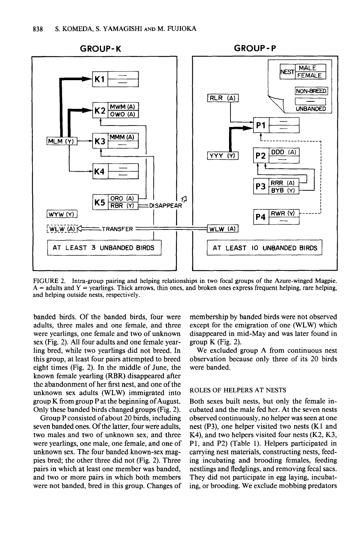

**FIGURE 2. Intra-group pairing and helping relationships in two focal groups of the Azure-winged Magpie. A = adults and Y = yearlings. Thick arrows, thin ones, and broken ones express frequent helping, rare helping, and helping outside nests, respectively.** 

**banded birds. Of the banded birds, four were adults, three males and one female, and three were yearlings, one female and two of unknown sex (Fig. 2). All four adults and one female yearling bred, while two yearlings did not breed. In this group, at least four pairs attempted to breed eight times (Fig. 2). In the middle of June, the known female yearling (RBR) disappeared after the abandonment of her first nest, and one of the unknown sex adults (WLW) immigrated into group K from group P at the beginning of August. Only these banded birds changed groups (Fig. 2).** 

**Group P consisted of about 20 birds, including seven banded ones. Of the latter, four were adults, two males and two of unknown sex, and three were yearlings, one male, one female, and one of unknown sex. The four banded known-sex magpies bred; the other three did not (Fig. 2). Three pairs in which at least one member was banded, and two or more pairs in which both members were not banded, bred in this group. Changes of**  **membership by banded birds were not observed except for the emigration of one (WLW) which disappeared in mid-May and was later found in group K (Fig. 2).** 

**We excluded group A from continuous nest observation because only three of its 20 birds were banded.** 

#### **ROLES OF HELPERS AT NESTS**

**Both sexes built nests, but only the female incubated and the male fed her. At the seven nests observed continuously, no helper was seen at one nest (P3), one helper visited two nests (Kl and K4), and two helpers visited four nests (K2, K3, Pl, and P2) (Table 1). Helpers participated in carrying nest materials, constructing nests, feeding incubating and brooding females, feeding nestlings and fledglings, and removing fecal sacs. They did not participate in egg laying, incubating, or brooding. We exclude mobbing predators**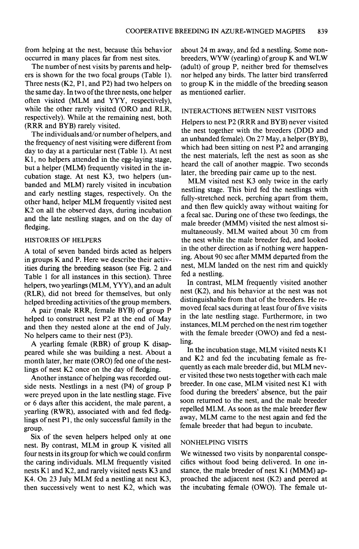**from helping at the nest, because this behavior occurred in many places far from nest sites.** 

**The number of nest visits by parents and helpers is shown for the two focal groups (Table 1). Three nests (K2, Pl, and P2) had two helpers on the same day. In two of the three nests, one helper**  often visited (MLM and YYY, respectively), **while the other rarely visited (OR0 and RLR, respectively). While at the remaining nest, both (RRR and BYB) rarely visited.** 

**The individuals and/or number of helpers, and the frequency of nest visiting were different from day to day at a particular nest (Table 1). At nest Kl, no helpers attended in the egg-laying stage, but a helper (MLM) frequently visited in the incubation stage. At nest K3, two helpers (unbanded and MLM) rarely visited in incubation and early nestling stages, respectively. On the other hand, helper MLM frequently visited nest K2 on all the observed days, during incubation and the late nestling stages, and on the day of fledging.** 

#### **HISTORIES OF HELPERS**

**A total of seven banded birds acted as helpers in groups K and P. Here we describe their activities during the breeding season (see Fig. 2 and Table 1 for all instances in this section). Three helpers, two yearlings (MLM, YYY), and an adult (RLR), did not breed for themselves, but only helped breeding activities of the group members.** 

**A pair (male RRR, female BYB) of group P helped to construct nest P2 at the end of May and then they nested alone at the end of July. No helpers came to their nest (P3).** 

**A yearling female (RBR) of group K disappeared while she was building a nest. About a month later, her mate (ORO) fed one of the nestlings of nest K2 once on the day of fledging.** 

**Another instance of helping was recorded outside nests. Nestlings in a nest (P4) of group P were preyed upon in the late nestling stage. Five or 6 days after this accident, the male parent, a yearling (RWR), associated with and fed fledg**lings of nest P<sub>1</sub>, the only successful family in the **group.** 

**Six of the seven helpers helped only at one nest. By contrast, MLM in group K visited all four nests in its group for which we could confirm the caring individuals. MLM frequently visited nests Kl and K2, and rarely visited nests K3 and K4. On 23 July MLM fed a nestling at nest K3, then successively went to nest K2, which was** 

**about 24 m away, and fed a nestling. Some nonbreeders, WYW (yearling) of group K and WLW (adult) of group P, neither bred for themselves nor helped any birds. The latter bird transferred to group K in the middle of the breeding season as mentioned earlier.** 

## **INTERACTIONS BETWEEN NEST VISITORS**

**Helpers to nest P2 (RRR and BYB) never visited the nest together with the breeders (DDD and an unbanded female). On 27 May, a helper (BYB), which had been sitting on nest P2 and arranging the nest materials, left the nest as soon as she heard the call of another magpie. Two seconds later, the breeding pair came up to the nest.** 

**MLM visited nest K3 only twice in the early nestling stage. This bird fed the nestlings with fully-stretched neck, perching apart from them, and then flew quickly away without waiting for a fecal sac. During one of these two feedings, the male breeder (MMM) visited the nest almost simultaneously. MLM waited about 30 cm from the nest while the male breeder fed, and looked in the other direction as if nothing were happen**ing. About 90 sec after MMM departed from the **nest, MLM landed on the nest rim and quickly fed a nestling.** 

**In contrast, MLM frequently visited another nest (K2), and his behavior at the nest was not distinguishable from that of the breeders. He removed fecal sacs during at least four of five visits in the late nestling stage. Furthermore, in two instances, MLM perched on the nest rim together with the female breeder (OWO) and fed a nestling.** 

**In the incubation stage, MLM visited nests Kl and K2 and fed the incubating female as frequently as each male breeder did, but MLM never visited these two nests together with each male breeder. In one case, MLM visited nest Kl with food during the breeders' absence, but the pair soon returned to the nest, and the male breeder repelled MLM. As soon as the male breeder flew away, MLM came to the nest again and fed the female breeder that had begun to incubate.** 

#### **NONHELPING VISITS**

**We witnessed two visits by nonparental conspecifics without food being delivered. In one instance, the male breeder of nest Kl (MMM) approached the adjacent nest (K2) and peered at the incubating female (OWO). The female ut-**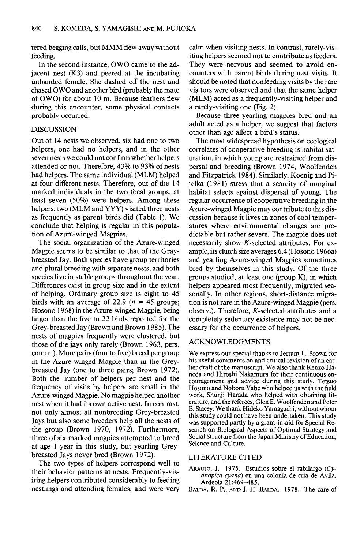**tered begging calls, but MMM flew away without feeding.** 

**In the second instance, OWO came to the adjacent nest (K3) and peered at the incubating unbanded female. She dashed off the nest and chased OWO and another bird (probably the mate of OWO) for about 10 m. Because feathers flew during this encounter, some physical contacts probably occurred.** 

## **DISCUSSION**

**Out of 14 nests we observed, six had one to two helpers, one had no helpers, and in the other seven nests we could not confirm whether helpers attended or not. Therefore, 43% to 93% of nests had helpers. The same individual (MLM) helped at four different nests. Therefore, out of the 14 marked individuals in the two focal groups, at least seven (50%) were helpers. Among these helpers, two (MLM and YYY) visited three nests as frequently as parent birds did (Table 1). We conclude that helping is regular in this population of Azure-winged Magpies.** 

**The social organization of the Azure-winged Magpie seems to be similar to that of the Graybreasted Jay. Both species have group territories and plural breeding with separate nests, and both species live in stable groups throughout the year. Differences exist in group size and in the extent of helping. Ordinary group size is eight to 45**  birds with an average of 22.9  $(n = 45 \text{ groups})$ **Hosono 1968) in the Azure-winged Magpie, being larger than the five to 22 birds reported for the Grey-breasted Jay (Brown and Brown 1985). The nests of magpies frequently were clustered, but those of the jays only rarely (Brown 1963, pers. comm.). More pairs (four to five) breed per group in the Azure-winged Magpie than in the Greybreasted Jay (one to three pairs; Brown 1972). Both the number of helpers per nest and the frequency of visits by helpers are small in the Azure-winged Magpie. No magpie helped another nest when it had its own active nest. In contrast, not only almost all nonbreeding Grey-breasted Jays but also some breeders help all the nests of the group (Brown 1970, 1972). Furthermore, three of six marked magpies attempted to breed at age 1 year in this study, but yearling Greybreasted Jays never bred (Brown 1972).** 

**The two types of helpers correspond well to their behavior patterns at nests. Frequently-visiting helpers contributed considerably to feeding nestlings and attending females, and were very**  **calm when visiting nests. In contrast, rarely-visiting helpers seemed not to contribute as feeders. They were nervous and seemed to avoid encounters with parent birds during nest visits. It should be noted that nonfeeding visits by the rare visitors were observed and that the same helper (MLM) acted as a frequently-visiting helper and a rarely-visiting one (Fig. 2).** 

**Because three yearling magpies bred and an adult acted as a helper, we suggest that factors other than age affect a bird's status.** 

**The most widespread hypothesis on ecological correlates of cooperative breeding is habitat saturation, in which young are restrained from dispersal and breeding (Brown 1974, Woolfenden and Fitzpatrick 1984). Similarly, Koenig and Pitelka (198 1) stress that a scarcity of marginal habitat selects against dispersal of young. The regular occurrence of cooperative breeding in the Azure-winged Magpie may contribute to this discussion because it lives in zones of cool temperatures where environmental changes are predictable but rather severe. The magpie does not necessarily show K-selected attributes. For example, its clutch size averages 6.4 (Hosono 1966a) and yearling Azure-winged Magpies sometimes bred by themselves in this study. Of the three groups studied, at least one (group K), in which helpers appeared most frequently, migrated seasonally. In other regions, short-distance migration is not rare in the Azure-winged Magpie (pers. observ.). Therefore, K-selected attributes and a completely sedentary existence may not be necessary for the occurrence of helpers.** 

## **ACKNOWLEDGMENTS**

**We express our special thanks to Jerram L. Brown for his useful comments on and critical revision of an earlier draft of the manuscript. We also thank Kenzo Haneda and Hiroshi Nakamura for their continuous encouragement and advice during this study, Tetsuo Hosono and Noboru Yabe who helped us with the field work, Shunji Harada who helped with obtaining literature, and the referees, Glen E. Woolfenden and Peter B. Stacey. We thank Hideko Yamaguchi, without whom this study could not have been undertaken. This study was supported partly by a grant-in-aid for Special Research on Biological Aspects of Optimal Strategy and Social Structure from the Japan Ministry of Education, Science and Culture.** 

#### **LITERATURE CITED**

- **ARAUJO, J. 1975. Estudios sobre el rabilargo (Cvanopica cyana) en una colonia de cria de Avila. Ardeola 21:469-485.**
- **BALDA, R. P., AND J. H. BALDA. 1978. The care of**